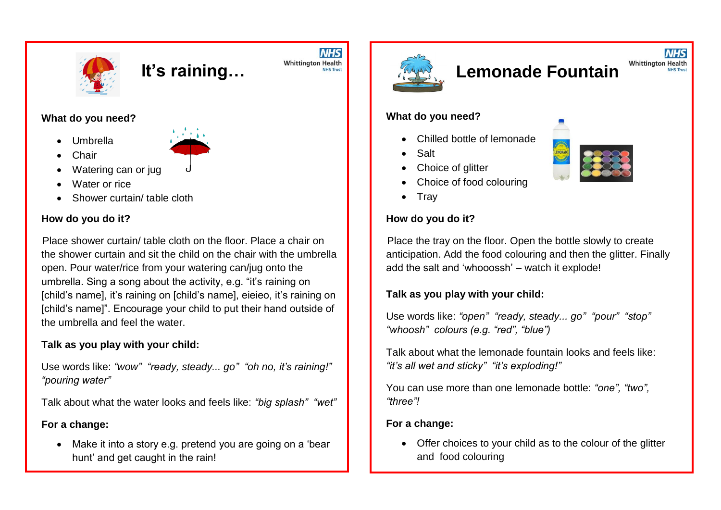

### **It's raining…**

### **What do you need?**

- Umbrella **Chair**
- 
- Watering can or jug Water or rice
- Shower curtain/ table cloth

### **How do you do it?**

Place shower curtain/ table cloth on the floor. Place a chair on the shower curtain and sit the child on the chair with the umbrella open. Pour water/rice from your watering can/jug onto the umbrella. Sing a song about the activity, e.g. "it's raining on [child's name], it's raining on [child's name], eieieo, it's raining on [child's name]". Encourage your child to put their hand outside of the umbrella and feel the water.

### **Talk as you play with your child:**

Use words like: *"wow" "ready, steady... go" "oh no, it's raining!" "pouring water"*

Talk about what the water looks and feels like: *"big splash" "wet"*

### **For a change:**

 Make it into a story e.g. pretend you are going on a 'bear hunt' and get caught in the rain!



**NHS** 

**NHS Trust** 

**Whittington Health** 

# **Lemonade Fountain**

### **What do you need?**

- Chilled bottle of lemonade
- Salt
- Choice of glitter
- Choice of food colouring
- $\bullet$  Trav

### **How do you do it?**

Place the tray on the floor. Open the bottle slowly to create anticipation. Add the food colouring and then the glitter. Finally add the salt and 'whooossh' – watch it explode!

### **Talk as you play with your child:**

Use words like: *"open" "ready, steady... go" "pour" "stop" "whoosh" colours (e.g. "red", "blue")*

Talk about what the lemonade fountain looks and feels like: *"it's all wet and sticky" "it's exploding!"*

You can use more than one lemonade bottle: *"one", "two", "three"!*

### **For a change:**

 Offer choices to your child as to the colour of the glitter and food colouring



**NHS** 

**Whittington Health**